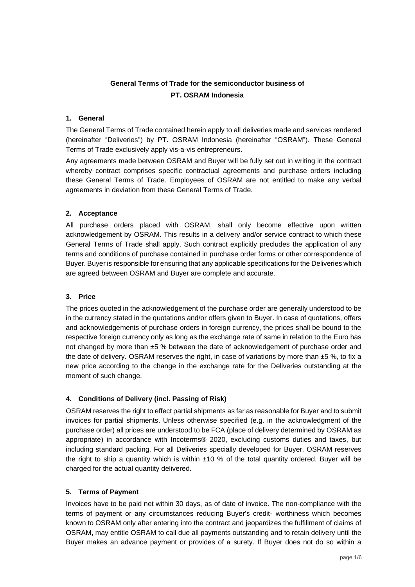# **General Terms of Trade for the semiconductor business of PT. OSRAM Indonesia**

### **1. General**

The General Terms of Trade contained herein apply to all deliveries made and services rendered (hereinafter "Deliveries") by PT. OSRAM Indonesia (hereinafter "OSRAM"). These General Terms of Trade exclusively apply vis-a-vis entrepreneurs.

Any agreements made between OSRAM and Buyer will be fully set out in writing in the contract whereby contract comprises specific contractual agreements and purchase orders including these General Terms of Trade. Employees of OSRAM are not entitled to make any verbal agreements in deviation from these General Terms of Trade.

## **2. Acceptance**

All purchase orders placed with OSRAM, shall only become effective upon written acknowledgement by OSRAM. This results in a delivery and/or service contract to which these General Terms of Trade shall apply. Such contract explicitly precludes the application of any terms and conditions of purchase contained in purchase order forms or other correspondence of Buyer. Buyer is responsible for ensuring that any applicable specifications for the Deliveries which are agreed between OSRAM and Buyer are complete and accurate.

### **3. Price**

The prices quoted in the acknowledgement of the purchase order are generally understood to be in the currency stated in the quotations and/or offers given to Buyer. In case of quotations, offers and acknowledgements of purchase orders in foreign currency, the prices shall be bound to the respective foreign currency only as long as the exchange rate of same in relation to the Euro has not changed by more than ±5 % between the date of acknowledgement of purchase order and the date of delivery. OSRAM reserves the right, in case of variations by more than  $±5$  %, to fix a new price according to the change in the exchange rate for the Deliveries outstanding at the moment of such change.

# **4. Conditions of Delivery (incl. Passing of Risk)**

OSRAM reserves the right to effect partial shipments as far as reasonable for Buyer and to submit invoices for partial shipments. Unless otherwise specified (e.g. in the acknowledgment of the purchase order) all prices are understood to be FCA (place of delivery determined by OSRAM as appropriate) in accordance with Incoterms® 2020, excluding customs duties and taxes, but including standard packing. For all Deliveries specially developed for Buyer, OSRAM reserves the right to ship a quantity which is within  $\pm 10$  % of the total quantity ordered. Buyer will be charged for the actual quantity delivered.

# **5. Terms of Payment**

Invoices have to be paid net within 30 days, as of date of invoice. The non-compliance with the terms of payment or any circumstances reducing Buyer's credit- worthiness which becomes known to OSRAM only after entering into the contract and jeopardizes the fulfillment of claims of OSRAM, may entitle OSRAM to call due all payments outstanding and to retain delivery until the Buyer makes an advance payment or provides of a surety. If Buyer does not do so within a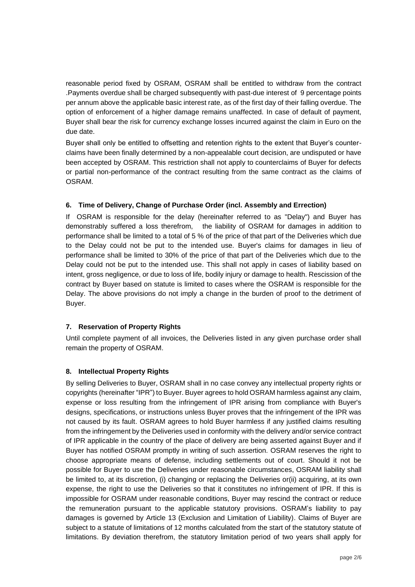reasonable period fixed by OSRAM, OSRAM shall be entitled to withdraw from the contract .Payments overdue shall be charged subsequently with past-due interest of 9 percentage points per annum above the applicable basic interest rate, as of the first day of their falling overdue. The option of enforcement of a higher damage remains unaffected. In case of default of payment, Buyer shall bear the risk for currency exchange losses incurred against the claim in Euro on the due date.

Buyer shall only be entitled to offsetting and retention rights to the extent that Buyer's counterclaims have been finally determined by a non-appealable court decision, are undisputed or have been accepted by OSRAM. This restriction shall not apply to counterclaims of Buyer for defects or partial non-performance of the contract resulting from the same contract as the claims of OSRAM.

# **6. Time of Delivery, Change of Purchase Order (incl. Assembly and Errection)**

If OSRAM is responsible for the delay (hereinafter referred to as "Delay") and Buyer has demonstrably suffered a loss therefrom, the liability of OSRAM for damages in addition to performance shall be limited to a total of 5 % of the price of that part of the Deliveries which due to the Delay could not be put to the intended use. Buyer's claims for damages in lieu of performance shall be limited to 30% of the price of that part of the Deliveries which due to the Delay could not be put to the intended use. This shall not apply in cases of liability based on intent, gross negligence, or due to loss of life, bodily injury or damage to health. Rescission of the contract by Buyer based on statute is limited to cases where the OSRAM is responsible for the Delay. The above provisions do not imply a change in the burden of proof to the detriment of Buyer.

#### **7. Reservation of Property Rights**

Until complete payment of all invoices, the Deliveries listed in any given purchase order shall remain the property of OSRAM.

#### **8. Intellectual Property Rights**

By selling Deliveries to Buyer, OSRAM shall in no case convey any intellectual property rights or copyrights (hereinafter "IPR") to Buyer. Buyer agrees to hold OSRAM harmless against any claim, expense or loss resulting from the infringement of IPR arising from compliance with Buyer's designs, specifications, or instructions unless Buyer proves that the infringement of the IPR was not caused by its fault. OSRAM agrees to hold Buyer harmless if any justified claims resulting from the infringement by the Deliveries used in conformity with the delivery and/or service contract of IPR applicable in the country of the place of delivery are being asserted against Buyer and if Buyer has notified OSRAM promptly in writing of such assertion. OSRAM reserves the right to choose appropriate means of defense, including settlements out of court. Should it not be possible for Buyer to use the Deliveries under reasonable circumstances, OSRAM liability shall be limited to, at its discretion, (i) changing or replacing the Deliveries or(ii) acquiring, at its own expense, the right to use the Deliveries so that it constitutes no infringement of IPR. If this is impossible for OSRAM under reasonable conditions, Buyer may rescind the contract or reduce the remuneration pursuant to the applicable statutory provisions. OSRAM's liability to pay damages is governed by Article 13 (Exclusion and Limitation of Liability). Claims of Buyer are subject to a statute of limitations of 12 months calculated from the start of the statutory statute of limitations. By deviation therefrom, the statutory limitation period of two years shall apply for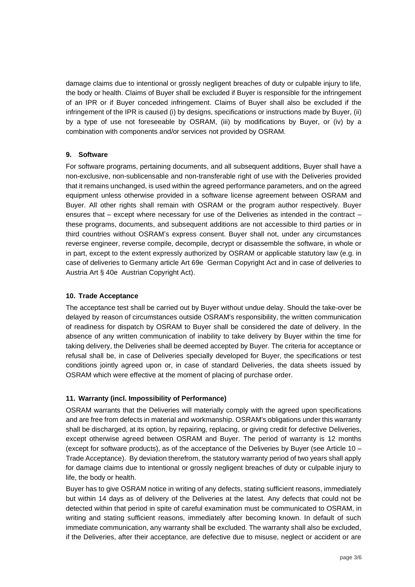damage claims due to intentional or grossly negligent breaches of duty or culpable injury to life, the body or health. Claims of Buyer shall be excluded if Buyer is responsible for the infringement of an IPR or if Buyer conceded infringement. Claims of Buyer shall also be excluded if the infringement of the IPR is caused (i) by designs, specifications or instructions made by Buyer, (ii) by a type of use not foreseeable by OSRAM, (iii) by modifications by Buyer, or (iv) by a combination with components and/or services not provided by OSRAM.

## **9. Software**

For software programs, pertaining documents, and all subsequent additions, Buyer shall have a non-exclusive, non-sublicensable and non-transferable right of use with the Deliveries provided that it remains unchanged, is used within the agreed performance parameters, and on the agreed equipment unless otherwise provided in a software license agreement between OSRAM and Buyer. All other rights shall remain with OSRAM or the program author respectively. Buyer ensures that – except where necessary for use of the Deliveries as intended in the contract – these programs, documents, and subsequent additions are not accessible to third parties or in third countries without OSRAM's express consent. Buyer shall not, under any circumstances reverse engineer, reverse compile, decompile, decrypt or disassemble the software, in whole or in part, except to the extent expressly authorized by OSRAM or applicable statutory law (e.g. in case of deliveries to Germany article Art 69e German Copyright Act and in case of deliveries to Austria Art § 40e Austrian Copyright Act).

#### **10. Trade Acceptance**

The acceptance test shall be carried out by Buyer without undue delay. Should the take-over be delayed by reason of circumstances outside OSRAM's responsibility, the written communication of readiness for dispatch by OSRAM to Buyer shall be considered the date of delivery. In the absence of any written communication of inability to take delivery by Buyer within the time for taking delivery, the Deliveries shall be deemed accepted by Buyer. The criteria for acceptance or refusal shall be, in case of Deliveries specially developed for Buyer, the specifications or test conditions jointly agreed upon or, in case of standard Deliveries, the data sheets issued by OSRAM which were effective at the moment of placing of purchase order.

# **11. Warranty (incl. Impossibility of Performance)**

OSRAM warrants that the Deliveries will materially comply with the agreed upon specifications and are free from defects in material and workmanship. OSRAM's obligations under this warranty shall be discharged, at its option, by repairing, replacing, or giving credit for defective Deliveries, except otherwise agreed between OSRAM and Buyer. The period of warranty is 12 months (except for software products), as of the acceptance of the Deliveries by Buyer (see Article 10 – Trade Acceptance). By deviation therefrom, the statutory warranty period of two years shall apply for damage claims due to intentional or grossly negligent breaches of duty or culpable injury to life, the body or health.

Buyer has to give OSRAM notice in writing of any defects, stating sufficient reasons, immediately but within 14 days as of delivery of the Deliveries at the latest. Any defects that could not be detected within that period in spite of careful examination must be communicated to OSRAM, in writing and stating sufficient reasons, immediately after becoming known. In default of such immediate communication, any warranty shall be excluded. The warranty shall also be excluded, if the Deliveries, after their acceptance, are defective due to misuse, neglect or accident or are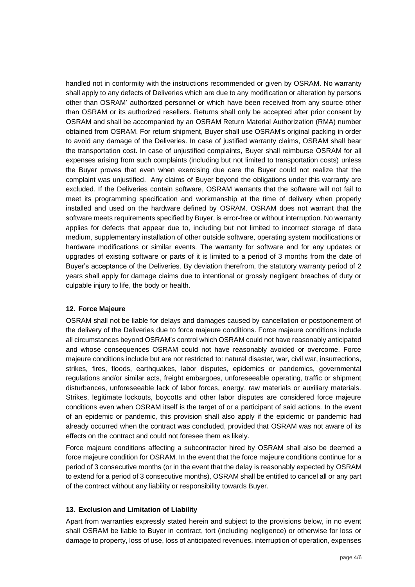handled not in conformity with the instructions recommended or given by OSRAM. No warranty shall apply to any defects of Deliveries which are due to any modification or alteration by persons other than OSRAM' authorized personnel or which have been received from any source other than OSRAM or its authorized resellers. Returns shall only be accepted after prior consent by OSRAM and shall be accompanied by an OSRAM Return Material Authorization (RMA) number obtained from OSRAM. For return shipment, Buyer shall use OSRAM's original packing in order to avoid any damage of the Deliveries. In case of justified warranty claims, OSRAM shall bear the transportation cost. In case of unjustified complaints, Buyer shall reimburse OSRAM for all expenses arising from such complaints (including but not limited to transportation costs) unless the Buyer proves that even when exercising due care the Buyer could not realize that the complaint was unjustified. Any claims of Buyer beyond the obligations under this warranty are excluded. If the Deliveries contain software, OSRAM warrants that the software will not fail to meet its programming specification and workmanship at the time of delivery when properly installed and used on the hardware defined by OSRAM. OSRAM does not warrant that the software meets requirements specified by Buyer, is error-free or without interruption. No warranty applies for defects that appear due to, including but not limited to incorrect storage of data medium, supplementary installation of other outside software, operating system modifications or hardware modifications or similar events. The warranty for software and for any updates or upgrades of existing software or parts of it is limited to a period of 3 months from the date of Buyer's acceptance of the Deliveries. By deviation therefrom, the statutory warranty period of 2 years shall apply for damage claims due to intentional or grossly negligent breaches of duty or culpable injury to life, the body or health.

#### **12. Force Majeure**

OSRAM shall not be liable for delays and damages caused by cancellation or postponement of the delivery of the Deliveries due to force majeure conditions. Force majeure conditions include all circumstances beyond OSRAM's control which OSRAM could not have reasonably anticipated and whose consequences OSRAM could not have reasonably avoided or overcome. Force majeure conditions include but are not restricted to: natural disaster, war, civil war, insurrections, strikes, fires, floods, earthquakes, labor disputes, epidemics or pandemics, governmental regulations and/or similar acts, freight embargoes, unforeseeable operating, traffic or shipment disturbances, unforeseeable lack of labor forces, energy, raw materials or auxiliary materials. Strikes, legitimate lockouts, boycotts and other labor disputes are considered force majeure conditions even when OSRAM itself is the target of or a participant of said actions. In the event of an epidemic or pandemic, this provision shall also apply if the epidemic or pandemic had already occurred when the contract was concluded, provided that OSRAM was not aware of its effects on the contract and could not foresee them as likely.

Force majeure conditions affecting a subcontractor hired by OSRAM shall also be deemed a force majeure condition for OSRAM. In the event that the force majeure conditions continue for a period of 3 consecutive months (or in the event that the delay is reasonably expected by OSRAM to extend for a period of 3 consecutive months), OSRAM shall be entitled to cancel all or any part of the contract without any liability or responsibility towards Buyer.

#### **13. Exclusion and Limitation of Liability**

Apart from warranties expressly stated herein and subject to the provisions below, in no event shall OSRAM be liable to Buyer in contract, tort (including negligence) or otherwise for loss or damage to property, loss of use, loss of anticipated revenues, interruption of operation, expenses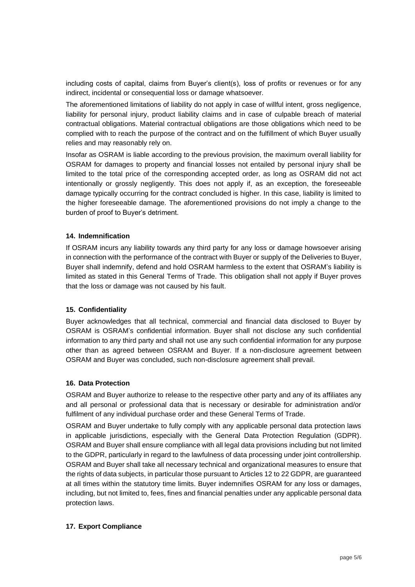including costs of capital, claims from Buyer's client(s), loss of profits or revenues or for any indirect, incidental or consequential loss or damage whatsoever.

The aforementioned limitations of liability do not apply in case of willful intent, gross negligence, liability for personal injury, product liability claims and in case of culpable breach of material contractual obligations. Material contractual obligations are those obligations which need to be complied with to reach the purpose of the contract and on the fulfillment of which Buyer usually relies and may reasonably rely on.

Insofar as OSRAM is liable according to the previous provision, the maximum overall liability for OSRAM for damages to property and financial losses not entailed by personal injury shall be limited to the total price of the corresponding accepted order, as long as OSRAM did not act intentionally or grossly negligently. This does not apply if, as an exception, the foreseeable damage typically occurring for the contract concluded is higher. In this case, liability is limited to the higher foreseeable damage. The aforementioned provisions do not imply a change to the burden of proof to Buyer's detriment.

## **14. Indemnification**

If OSRAM incurs any liability towards any third party for any loss or damage howsoever arising in connection with the performance of the contract with Buyer or supply of the Deliveries to Buyer, Buyer shall indemnify, defend and hold OSRAM harmless to the extent that OSRAM's liability is limited as stated in this General Terms of Trade. This obligation shall not apply if Buyer proves that the loss or damage was not caused by his fault.

#### **15. Confidentiality**

Buyer acknowledges that all technical, commercial and financial data disclosed to Buyer by OSRAM is OSRAM's confidential information. Buyer shall not disclose any such confidential information to any third party and shall not use any such confidential information for any purpose other than as agreed between OSRAM and Buyer. If a non-disclosure agreement between OSRAM and Buyer was concluded, such non-disclosure agreement shall prevail.

#### **16. Data Protection**

OSRAM and Buyer authorize to release to the respective other party and any of its affiliates any and all personal or professional data that is necessary or desirable for administration and/or fulfilment of any individual purchase order and these General Terms of Trade.

OSRAM and Buyer undertake to fully comply with any applicable personal data protection laws in applicable jurisdictions, especially with the General Data Protection Regulation (GDPR). OSRAM and Buyer shall ensure compliance with all legal data provisions including but not limited to the GDPR, particularly in regard to the lawfulness of data processing under joint controllership. OSRAM and Buyer shall take all necessary technical and organizational measures to ensure that the rights of data subjects, in particular those pursuant to Articles 12 to 22 GDPR, are guaranteed at all times within the statutory time limits. Buyer indemnifies OSRAM for any loss or damages, including, but not limited to, fees, fines and financial penalties under any applicable personal data protection laws.

#### **17. Export Compliance**